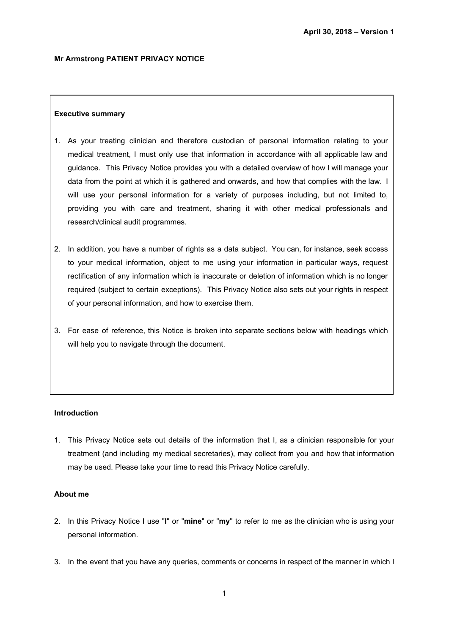### **Mr Armstrong PATIENT PRIVACY NOTICE**

### **Executive summary**

- 1. As your treating clinician and therefore custodian of personal information relating to your medical treatment, I must only use that information in accordance with all applicable law and guidance. This Privacy Notice provides you with a detailed overview of how I will manage your data from the point at which it is gathered and onwards, and how that complies with the law. I will use your personal information for a variety of purposes including, but not limited to, providing you with care and treatment, sharing it with other medical professionals and research/clinical audit programmes.
- 2. In addition, you have a number of rights as a data subject. You can, for instance, seek access to your medical information, object to me using your information in particular ways, request rectification of any information which is inaccurate or deletion of information which is no longer required (subject to certain exceptions). This Privacy Notice also sets out your rights in respect of your personal information, and how to exercise them.
- 3. For ease of reference, this Notice is broken into separate sections below with headings which will help you to navigate through the document.

### **Introduction**

1. This Privacy Notice sets out details of the information that I, as a clinician responsible for your treatment (and including my medical secretaries), may collect from you and how that information may be used. Please take your time to read this Privacy Notice carefully.

### **About me**

- 2. In this Privacy Notice I use "**I**" or "**mine**" or "**my**" to refer to me as the clinician who is using your personal information.
- 3. In the event that you have any queries, comments or concerns in respect of the manner in which I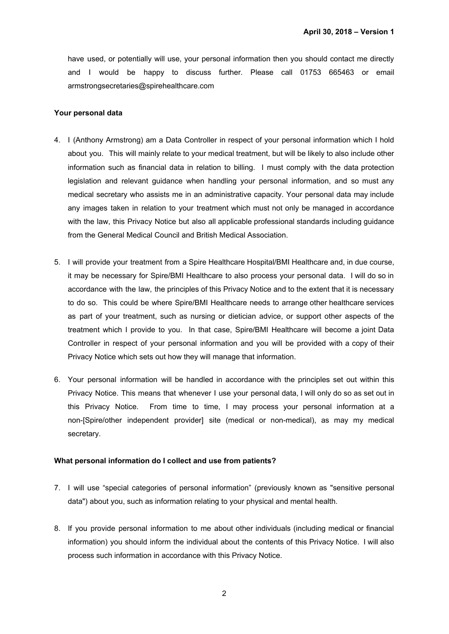have used, or potentially will use, your personal information then you should contact me directly and I would be happy to discuss further. Please call 01753 665463 or email armstrongsecretaries@spirehealthcare.com

### **Your personal data**

- 4. I (Anthony Armstrong) am a Data Controller in respect of your personal information which I hold about you. This will mainly relate to your medical treatment, but will be likely to also include other information such as financial data in relation to billing. I must comply with the data protection legislation and relevant guidance when handling your personal information, and so must any medical secretary who assists me in an administrative capacity. Your personal data may include any images taken in relation to your treatment which must not only be managed in accordance with the law, this Privacy Notice but also all applicable professional standards including guidance from the General Medical Council and British Medical Association.
- 5. I will provide your treatment from a Spire Healthcare Hospital/BMI Healthcare and, in due course, it may be necessary for Spire/BMI Healthcare to also process your personal data. I will do so in accordance with the law, the principles of this Privacy Notice and to the extent that it is necessary to do so. This could be where Spire/BMI Healthcare needs to arrange other healthcare services as part of your treatment, such as nursing or dietician advice, or support other aspects of the treatment which I provide to you. In that case, Spire/BMI Healthcare will become a joint Data Controller in respect of your personal information and you will be provided with a copy of their Privacy Notice which sets out how they will manage that information.
- 6. Your personal information will be handled in accordance with the principles set out within this Privacy Notice. This means that whenever I use your personal data, I will only do so as set out in this Privacy Notice. From time to time, I may process your personal information at a non-[Spire/other independent provider] site (medical or non-medical), as may my medical secretary.

### **What personal information do I collect and use from patients?**

- 7. I will use "special categories of personal information" (previously known as "sensitive personal data") about you, such as information relating to your physical and mental health.
- 8. If you provide personal information to me about other individuals (including medical or financial information) you should inform the individual about the contents of this Privacy Notice. I will also process such information in accordance with this Privacy Notice.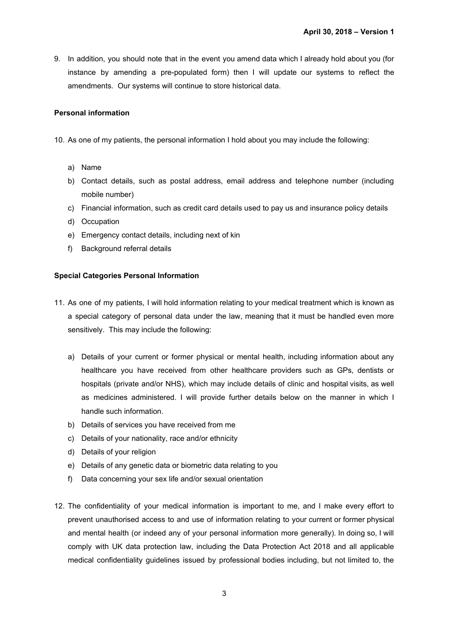9. In addition, you should note that in the event you amend data which I already hold about you (for instance by amending a pre-populated form) then I will update our systems to reflect the amendments. Our systems will continue to store historical data.

## **Personal information**

- 10. As one of my patients, the personal information I hold about you may include the following:
	- a) Name
	- b) Contact details, such as postal address, email address and telephone number (including mobile number)
	- c) Financial information, such as credit card details used to pay us and insurance policy details
	- d) Occupation
	- e) Emergency contact details, including next of kin
	- f) Background referral details

## **Special Categories Personal Information**

- 11. As one of my patients, I will hold information relating to your medical treatment which is known as a special category of personal data under the law, meaning that it must be handled even more sensitively. This may include the following:
	- a) Details of your current or former physical or mental health, including information about any healthcare you have received from other healthcare providers such as GPs, dentists or hospitals (private and/or NHS), which may include details of clinic and hospital visits, as well as medicines administered. I will provide further details below on the manner in which I handle such information.
	- b) Details of services you have received from me
	- c) Details of your nationality, race and/or ethnicity
	- d) Details of your religion
	- e) Details of any genetic data or biometric data relating to you
	- f) Data concerning your sex life and/or sexual orientation
- 12. The confidentiality of your medical information is important to me, and I make every effort to prevent unauthorised access to and use of information relating to your current or former physical and mental health (or indeed any of your personal information more generally). In doing so, I will comply with UK data protection law, including the Data Protection Act 2018 and all applicable medical confidentiality guidelines issued by professional bodies including, but not limited to, the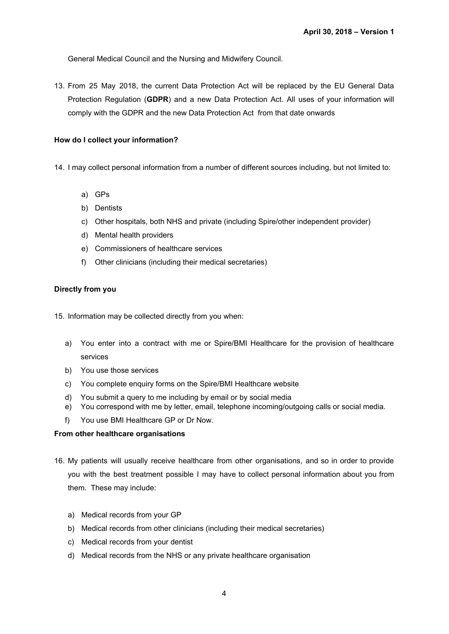General Medical Council and the Nursing and Midwifery Council.

13. From 25 May 2018, the current Data Protection Act will be replaced by the EU General Data Protection Regulation (**GDPR**) and a new Data Protection Act. All uses of your information will comply with the GDPR and the new Data Protection Act from that date onwards

## **How do I collect your information?**

14. I may collect personal information from a number of different sources including, but not limited to:

- a) GPs
- b) Dentists
- c) Other hospitals, both NHS and private (including Spire/other independent provider)
- d) Mental health providers
- e) Commissioners of healthcare services
- f) Other clinicians (including their medical secretaries)

## **Directly from you**

15. Information may be collected directly from you when:

- a) You enter into a contract with me or Spire/BMI Healthcare for the provision of healthcare services
- b) You use those services
- c) You complete enquiry forms on the Spire/BMI Healthcare website
- d) You submit a query to me including by email or by social media
- e) You correspond with me by letter, email, telephone incoming/outgoing calls or social media.
- f) You use BMI Healthcare GP or Dr Now.

### **From other healthcare organisations**

- 16. My patients will usually receive healthcare from other organisations, and so in order to provide you with the best treatment possible I may have to collect personal information about you from them. These may include:
	- a) Medical records from your GP
	- b) Medical records from other clinicians (including their medical secretaries)
	- c) Medical records from your dentist
	- d) Medical records from the NHS or any private healthcare organisation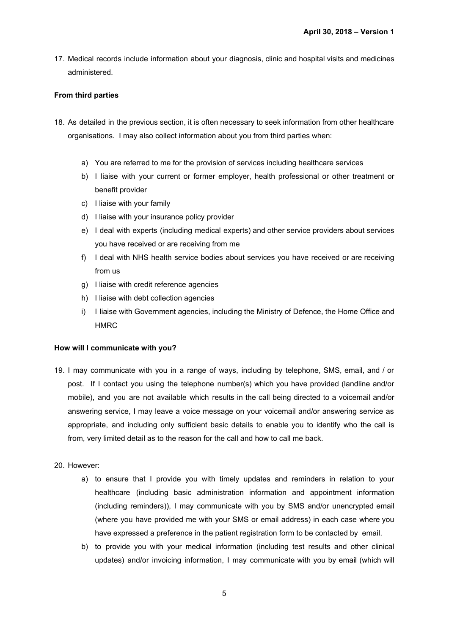17. Medical records include information about your diagnosis, clinic and hospital visits and medicines administered.

## **From third parties**

- 18. As detailed in the previous section, it is often necessary to seek information from other healthcare organisations. I may also collect information about you from third parties when:
	- a) You are referred to me for the provision of services including healthcare services
	- b) I liaise with your current or former employer, health professional or other treatment or benefit provider
	- c) I liaise with your family
	- d) I liaise with your insurance policy provider
	- e) I deal with experts (including medical experts) and other service providers about services you have received or are receiving from me
	- f) I deal with NHS health service bodies about services you have received or are receiving from us
	- g) I liaise with credit reference agencies
	- h) I liaise with debt collection agencies
	- i) I liaise with Government agencies, including the Ministry of Defence, the Home Office and HMRC

## **How will I communicate with you?**

- 19. I may communicate with you in a range of ways, including by telephone, SMS, email, and / or post. If I contact you using the telephone number(s) which you have provided (landline and/or mobile), and you are not available which results in the call being directed to a voicemail and/or answering service, I may leave a voice message on your voicemail and/or answering service as appropriate, and including only sufficient basic details to enable you to identify who the call is from, very limited detail as to the reason for the call and how to call me back.
- 20. However:
	- a) to ensure that I provide you with timely updates and reminders in relation to your healthcare (including basic administration information and appointment information (including reminders)), I may communicate with you by SMS and/or unencrypted email (where you have provided me with your SMS or email address) in each case where you have expressed a preference in the patient registration form to be contacted by email.
	- b) to provide you with your medical information (including test results and other clinical updates) and/or invoicing information, I may communicate with you by email (which will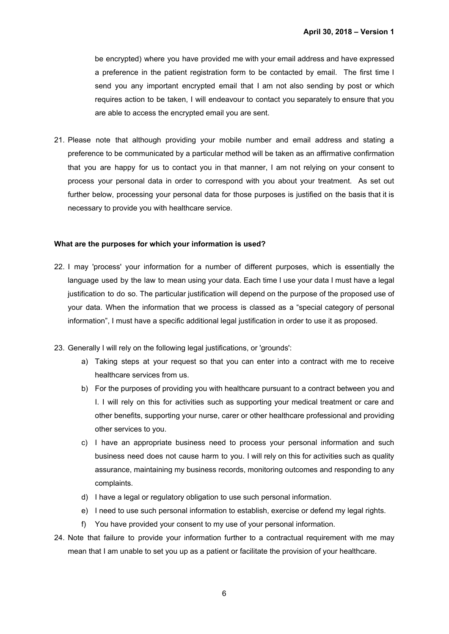be encrypted) where you have provided me with your email address and have expressed a preference in the patient registration form to be contacted by email. The first time I send you any important encrypted email that I am not also sending by post or which requires action to be taken, I will endeavour to contact you separately to ensure that you are able to access the encrypted email you are sent.

21. Please note that although providing your mobile number and email address and stating a preference to be communicated by a particular method will be taken as an affirmative confirmation that you are happy for us to contact you in that manner, I am not relying on your consent to process your personal data in order to correspond with you about your treatment. As set out further below, processing your personal data for those purposes is justified on the basis that it is necessary to provide you with healthcare service.

### **What are the purposes for which your information is used?**

- 22. I may 'process' your information for a number of different purposes, which is essentially the language used by the law to mean using your data. Each time I use your data I must have a legal justification to do so. The particular justification will depend on the purpose of the proposed use of your data. When the information that we process is classed as a "special category of personal information", I must have a specific additional legal justification in order to use it as proposed.
- 23. Generally I will rely on the following legal justifications, or 'grounds':
	- a) Taking steps at your request so that you can enter into a contract with me to receive healthcare services from us.
	- b) For the purposes of providing you with healthcare pursuant to a contract between you and I. I will rely on this for activities such as supporting your medical treatment or care and other benefits, supporting your nurse, carer or other healthcare professional and providing other services to you.
	- c) I have an appropriate business need to process your personal information and such business need does not cause harm to you. I will rely on this for activities such as quality assurance, maintaining my business records, monitoring outcomes and responding to any complaints.
	- d) I have a legal or regulatory obligation to use such personal information.
	- e) I need to use such personal information to establish, exercise or defend my legal rights.
	- f) You have provided your consent to my use of your personal information.
- 24. Note that failure to provide your information further to a contractual requirement with me may mean that I am unable to set you up as a patient or facilitate the provision of your healthcare.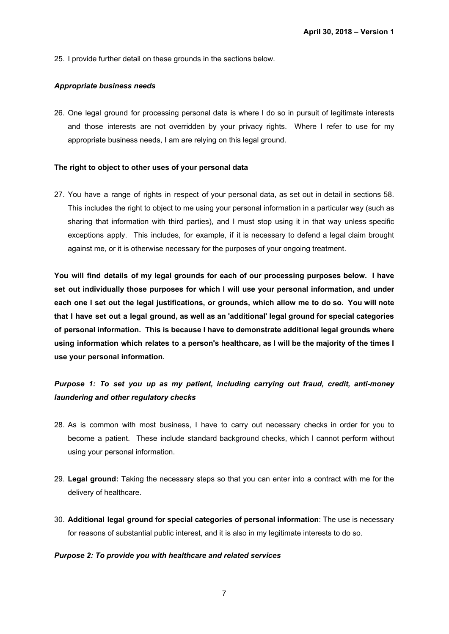25. I provide further detail on these grounds in the sections below.

### *Appropriate business needs*

26. One legal ground for processing personal data is where I do so in pursuit of legitimate interests and those interests are not overridden by your privacy rights. Where I refer to use for my appropriate business needs, I am are relying on this legal ground.

### **The right to object to other uses of your personal data**

27. You have a range of rights in respect of your personal data, as set out in detail in sections 58. This includes the right to object to me using your personal information in a particular way (such as sharing that information with third parties), and I must stop using it in that way unless specific exceptions apply. This includes, for example, if it is necessary to defend a legal claim brought against me, or it is otherwise necessary for the purposes of your ongoing treatment.

**You will find details of my legal grounds for each of our processing purposes below. I have set out individually those purposes for which I will use your personal information, and under** each one I set out the legal justifications, or grounds, which allow me to do so. You will note **that I have set out a legal ground, as well as an 'additional' legal ground for special categories of personal information. This is because I have to demonstrate additional legal grounds where using information which relates to a person's healthcare, as I will be the majority of the times I use your personal information.**

# *Purpose 1: To set you up as my patient, including carrying out fraud, credit, anti-money laundering and other regulatory checks*

- 28. As is common with most business, I have to carry out necessary checks in order for you to become a patient. These include standard background checks, which I cannot perform without using your personal information.
- 29. **Legal ground:** Taking the necessary steps so that you can enter into a contract with me for the delivery of healthcare.
- 30. **Additional legal ground for special categories of personal information**: The use is necessary for reasons of substantial public interest, and it is also in my legitimate interests to do so.

### *Purpose 2: To provide you with healthcare and related services*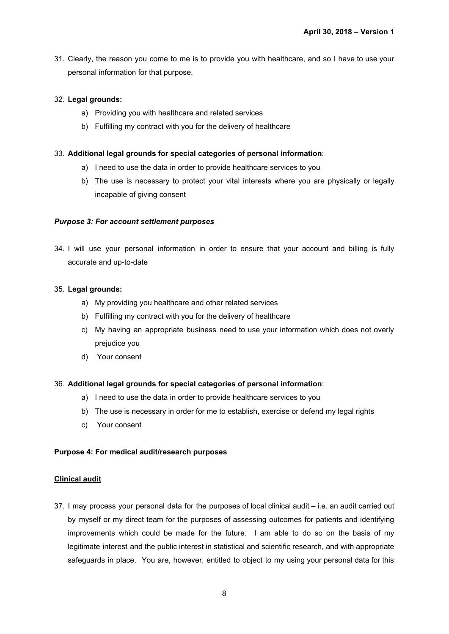31. Clearly, the reason you come to me is to provide you with healthcare, and so I have to use your personal information for that purpose.

## 32. **Legal grounds:**

- a) Providing you with healthcare and related services
- b) Fulfilling my contract with you for the delivery of healthcare

## 33. **Additional legal grounds for special categories of personal information**:

- a) I need to use the data in order to provide healthcare services to you
- b) The use is necessary to protect your vital interests where you are physically or legally incapable of giving consent

# *Purpose 3: For account settlement purposes*

34. I will use your personal information in order to ensure that your account and billing is fully accurate and up-to-date

## 35. **Legal grounds:**

- a) My providing you healthcare and other related services
- b) Fulfilling my contract with you for the delivery of healthcare
- c) My having an appropriate business need to use your information which does not overly prejudice you
- d) Your consent

## 36. **Additional legal grounds for special categories of personal information**:

- a) I need to use the data in order to provide healthcare services to you
- b) The use is necessary in order for me to establish, exercise or defend my legal rights
- c) Your consent

## **Purpose 4: For medical audit/research purposes**

## **Clinical audit**

37. I may process your personal data for the purposes of local clinical audit – i.e. an audit carried out by myself or my direct team for the purposes of assessing outcomes for patients and identifying improvements which could be made for the future. I am able to do so on the basis of my legitimate interest and the public interest in statistical and scientific research, and with appropriate safeguards in place. You are, however, entitled to object to my using your personal data for this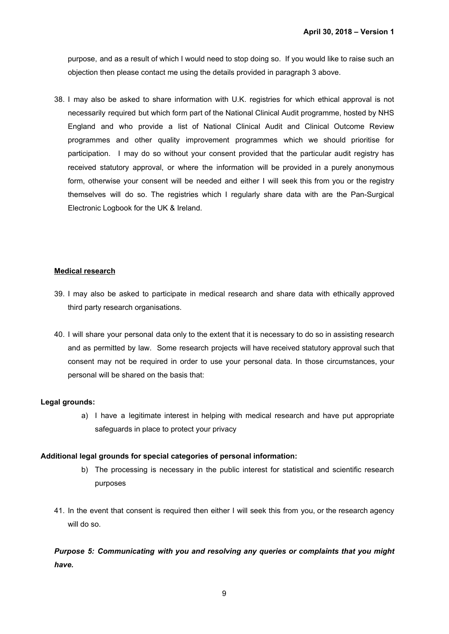purpose, and as a result of which I would need to stop doing so. If you would like to raise such an objection then please contact me using the details provided in paragraph 3 above.

38. I may also be asked to share information with U.K. registries for which ethical approval is not necessarily required but which form part of the National Clinical Audit programme, hosted by NHS England and who provide a list of National Clinical Audit and Clinical Outcome Review programmes and other quality improvement programmes which we should prioritise for participation. I may do so without your consent provided that the particular audit registry has received statutory approval, or where the information will be provided in a purely anonymous form, otherwise your consent will be needed and either I will seek this from you or the registry themselves will do so. The registries which I regularly share data with are the Pan-Surgical Electronic Logbook for the UK & Ireland.

## **Medical research**

- 39. I may also be asked to participate in medical research and share data with ethically approved third party research organisations.
- 40. I will share your personal data only to the extent that it is necessary to do so in assisting research and as permitted by law. Some research projects will have received statutory approval such that consent may not be required in order to use your personal data. In those circumstances, your personal will be shared on the basis that:

# **Legal grounds:**

a) I have a legitimate interest in helping with medical research and have put appropriate safeguards in place to protect your privacy

## **Additional legal grounds for special categories of personal information:**

- b) The processing is necessary in the public interest for statistical and scientific research purposes
- 41. In the event that consent is required then either I will seek this from you, or the research agency will do so.

*Purpose 5: Communicating with you and resolving any queries or complaints that you might have.*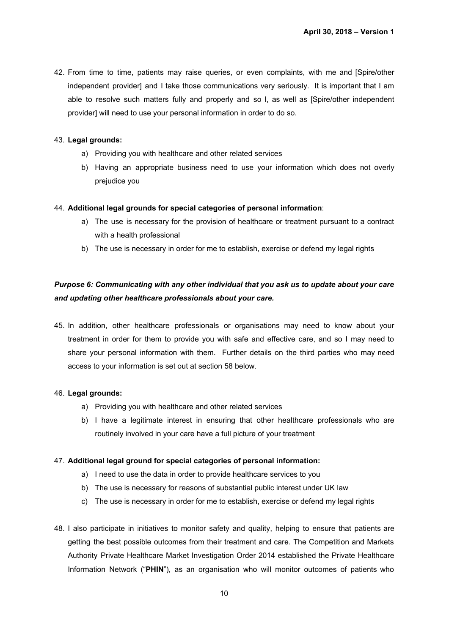42. From time to time, patients may raise queries, or even complaints, with me and [Spire/other independent provider] and I take those communications very seriously. It is important that I am able to resolve such matters fully and properly and so I, as well as [Spire/other independent provider] will need to use your personal information in order to do so.

## 43. **Legal grounds:**

- a) Providing you with healthcare and other related services
- b) Having an appropriate business need to use your information which does not overly prejudice you

## 44. **Additional legal grounds for special categories of personal information**:

- a) The use is necessary for the provision of healthcare or treatment pursuant to a contract with a health professional
- b) The use is necessary in order for me to establish, exercise or defend my legal rights

# *Purpose 6: Communicating with any other individual that you ask us to update about your care and updating other healthcare professionals about your care.*

45. In addition, other healthcare professionals or organisations may need to know about your treatment in order for them to provide you with safe and effective care, and so I may need to share your personal information with them. Further details on the third parties who may need access to your information is set out at section 58 below.

## 46. **Legal grounds:**

- a) Providing you with healthcare and other related services
- b) I have a legitimate interest in ensuring that other healthcare professionals who are routinely involved in your care have a full picture of your treatment

## 47. **Additional legal ground for special categories of personal information:**

- a) I need to use the data in order to provide healthcare services to you
- b) The use is necessary for reasons of substantial public interest under UK law
- c) The use is necessary in order for me to establish, exercise or defend my legal rights
- 48. I also participate in initiatives to monitor safety and quality, helping to ensure that patients are getting the best possible outcomes from their treatment and care. The Competition and Markets Authority Private Healthcare Market Investigation Order 2014 established the Private Healthcare Information Network ("**PHIN**"), as an organisation who will monitor outcomes of patients who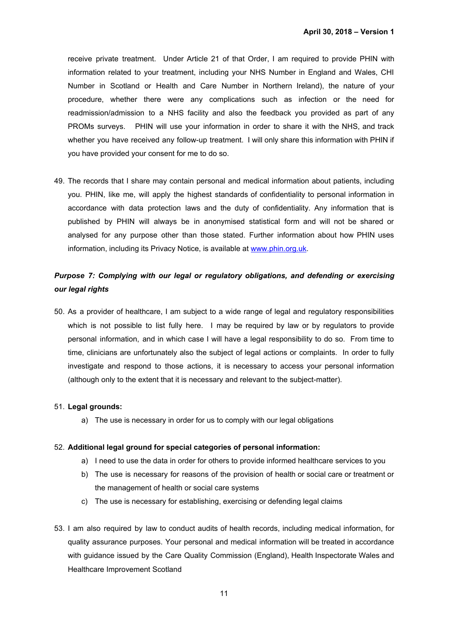receive private treatment. Under Article 21 of that Order, I am required to provide PHIN with information related to your treatment, including your NHS Number in England and Wales, CHI Number in Scotland or Health and Care Number in Northern Ireland), the nature of your procedure, whether there were any complications such as infection or the need for readmission/admission to a NHS facility and also the feedback you provided as part of any PROMs surveys. PHIN will use your information in order to share it with the NHS, and track whether you have received any follow-up treatment. I will only share this information with PHIN if you have provided your consent for me to do so.

49. The records that I share may contain personal and medical information about patients, including you. PHIN, like me, will apply the highest standards of confidentiality to personal information in accordance with data protection laws and the duty of confidentiality. Any information that is published by PHIN will always be in anonymised statistical form and will not be shared or analysed for any purpose other than those stated. Further information about how PHIN uses information, including its Privacy Notice, is available at [www.phin.org.uk](http://www.phin.org.uk/).

# *Purpose 7: Complying with our legal or regulatory obligations, and defending or exercising our legal rights*

50. As a provider of healthcare, I am subject to a wide range of legal and regulatory responsibilities which is not possible to list fully here. I may be required by law or by regulators to provide personal information, and in which case I will have a legal responsibility to do so. From time to time, clinicians are unfortunately also the subject of legal actions or complaints. In order to fully investigate and respond to those actions, it is necessary to access your personal information (although only to the extent that it is necessary and relevant to the subject-matter).

## 51. **Legal grounds:**

a) The use is necessary in order for us to comply with our legal obligations

### 52. **Additional legal ground for special categories of personal information:**

- a) I need to use the data in order for others to provide informed healthcare services to you
- b) The use is necessary for reasons of the provision of health or social care or treatment or the management of health or social care systems
- c) The use is necessary for establishing, exercising or defending legal claims
- 53. I am also required by law to conduct audits of health records, including medical information, for quality assurance purposes. Your personal and medical information will be treated in accordance with guidance issued by the Care Quality Commission (England), Health Inspectorate Wales and Healthcare Improvement Scotland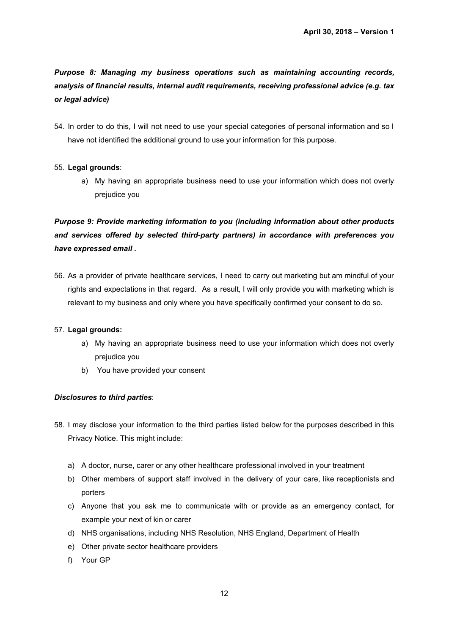*Purpose 8: Managing my business operations such as maintaining accounting records, analysis of financial results, internal audit requirements, receiving professional advice (e.g. tax or legal advice)*

54. In order to do this, I will not need to use your special categories of personal information and so I have not identified the additional ground to use your information for this purpose.

# 55. **Legal grounds**:

a) My having an appropriate business need to use your information which does not overly prejudice you

*Purpose 9: Provide marketing information to you (including information about other products and services offered by selected third-party partners) in accordance with preferences you have expressed email .*

56. As a provider of private healthcare services, I need to carry out marketing but am mindful of your rights and expectations in that regard. As a result, I will only provide you with marketing which is relevant to my business and only where you have specifically confirmed your consent to do so.

## 57. **Legal grounds:**

- a) My having an appropriate business need to use your information which does not overly prejudice you
- b) You have provided your consent

## *Disclosures to third parties*:

- 58. I may disclose your information to the third parties listed below for the purposes described in this Privacy Notice. This might include:
	- a) A doctor, nurse, carer or any other healthcare professional involved in your treatment
	- b) Other members of support staff involved in the delivery of your care, like receptionists and porters
	- c) Anyone that you ask me to communicate with or provide as an emergency contact, for example your next of kin or carer
	- d) NHS organisations, including NHS Resolution, NHS England, Department of Health
	- e) Other private sector healthcare providers
	- f) Your GP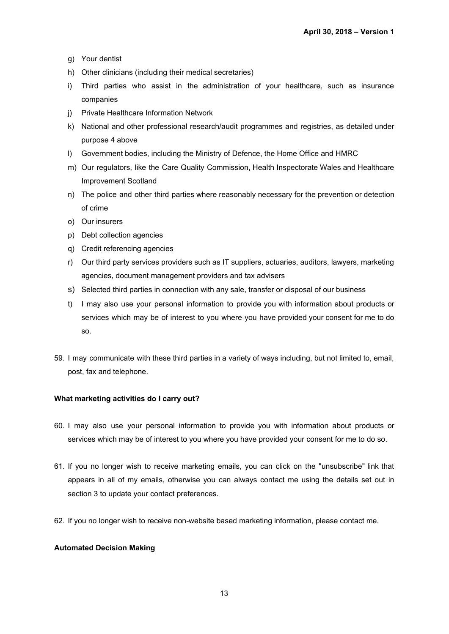- g) Your dentist
- h) Other clinicians (including their medical secretaries)
- i) Third parties who assist in the administration of your healthcare, such as insurance companies
- j) Private Healthcare Information Network
- k) National and other professional research/audit programmes and registries, as detailed under purpose 4 above
- l) Government bodies, including the Ministry of Defence, the Home Office and HMRC
- m) Our regulators, like the Care Quality Commission, Health Inspectorate Wales and Healthcare Improvement Scotland
- n) The police and other third parties where reasonably necessary for the prevention or detection of crime
- o) Our insurers
- p) Debt collection agencies
- q) Credit referencing agencies
- r) Our third party services providers such as IT suppliers, actuaries, auditors, lawyers, marketing agencies, document management providers and tax advisers
- s) Selected third parties in connection with any sale, transfer or disposal of our business
- t) I may also use your personal information to provide you with information about products or services which may be of interest to you where you have provided your consent for me to do so.
- 59. I may communicate with these third parties in a variety of ways including, but not limited to, email, post, fax and telephone.

### **What marketing activities do I carry out?**

- 60. I may also use your personal information to provide you with information about products or services which may be of interest to you where you have provided your consent for me to do so.
- 61. If you no longer wish to receive marketing emails, you can click on the "unsubscribe" link that appears in all of my emails, otherwise you can always contact me using the details set out in section 3 to update your contact preferences.
- 62. If you no longer wish to receive non-website based marketing information, please contact me.

### **Automated Decision Making**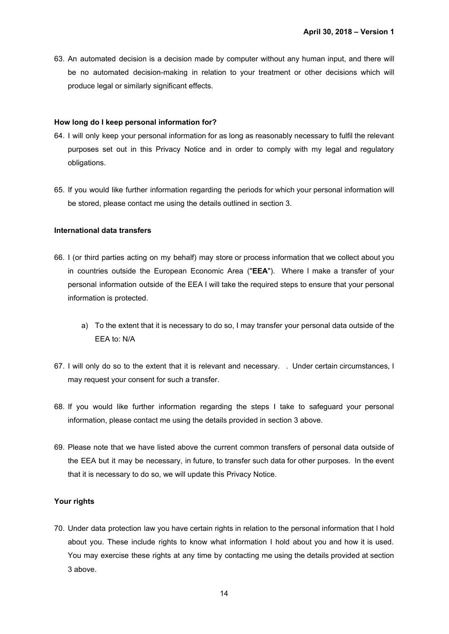63. An automated decision is a decision made by computer without any human input, and there will be no automated decision-making in relation to your treatment or other decisions which will produce legal or similarly significant effects.

### **How long do I keep personal information for?**

- 64. I will only keep your personal information for as long as reasonably necessary to fulfil the relevant purposes set out in this Privacy Notice and in order to comply with my legal and regulatory obligations.
- 65. If you would like further information regarding the periods for which your personal information will be stored, please contact me using the details outlined in section 3.

### **International data transfers**

- 66. I (or third parties acting on my behalf) may store or process information that we collect about you in countries outside the European Economic Area ("**EEA**"). Where I make a transfer of your personal information outside of the EEA I will take the required steps to ensure that your personal information is protected.
	- a) To the extent that it is necessary to do so, I may transfer your personal data outside of the EEA to: N/A
- 67. I will only do so to the extent that it is relevant and necessary. . Under certain circumstances, I may request your consent for such a transfer.
- 68. If you would like further information regarding the steps I take to safeguard your personal information, please contact me using the details provided in section 3 above.
- 69. Please note that we have listed above the current common transfers of personal data outside of the EEA but it may be necessary, in future, to transfer such data for other purposes. In the event that it is necessary to do so, we will update this Privacy Notice.

## **Your rights**

70. Under data protection law you have certain rights in relation to the personal information that I hold about you. These include rights to know what information I hold about you and how it is used. You may exercise these rights at any time by contacting me using the details provided at section 3 above.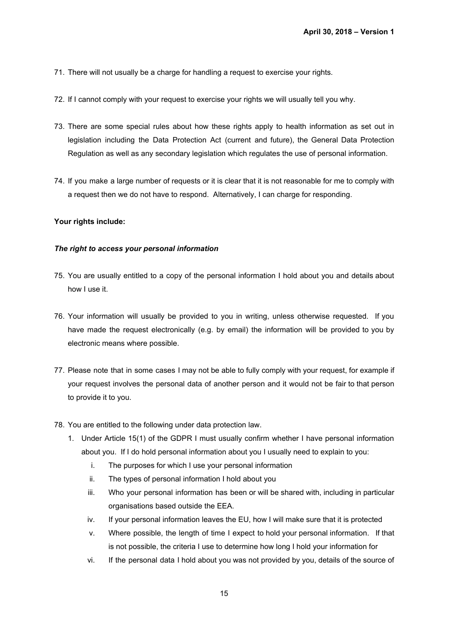- 71. There will not usually be a charge for handling a request to exercise your rights.
- 72. If I cannot comply with your request to exercise your rights we will usually tell you why.
- 73. There are some special rules about how these rights apply to health information as set out in legislation including the Data Protection Act (current and future), the General Data Protection Regulation as well as any secondary legislation which regulates the use of personal information.
- 74. If you make a large number of requests or it is clear that it is not reasonable for me to comply with a request then we do not have to respond. Alternatively, I can charge for responding.

# **Your rights include:**

## *The right to access your personal information*

- 75. You are usually entitled to a copy of the personal information I hold about you and details about how I use it.
- 76. Your information will usually be provided to you in writing, unless otherwise requested. If you have made the request electronically (e.g. by email) the information will be provided to you by electronic means where possible.
- 77. Please note that in some cases I may not be able to fully comply with your request, for example if your request involves the personal data of another person and it would not be fair to that person to provide it to you.
- 78. You are entitled to the following under data protection law.
	- 1. Under Article 15(1) of the GDPR I must usually confirm whether I have personal information about you. If I do hold personal information about you I usually need to explain to you:
		- i. The purposes for which I use your personal information
		- ii. The types of personal information I hold about you
		- iii. Who your personal information has been or will be shared with, including in particular organisations based outside the EEA.
		- iv. If your personal information leaves the EU, how I will make sure that it is protected
		- v. Where possible, the length of time I expect to hold your personal information. If that is not possible, the criteria I use to determine how long I hold your information for
		- vi. If the personal data I hold about you was not provided by you, details of the source of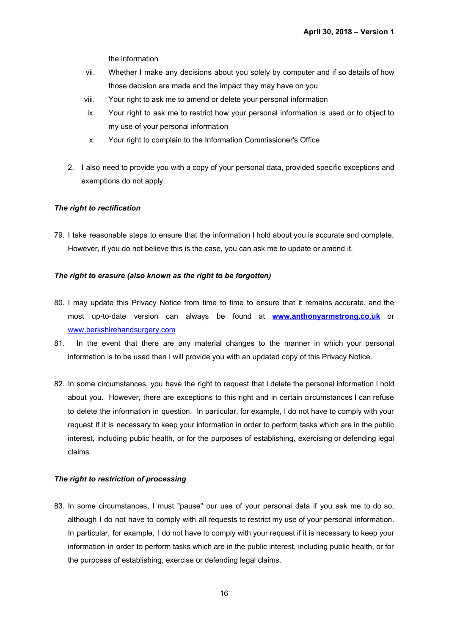the information

- vii. Whether I make any decisions about you solely by computer and if so details of how those decision are made and the impact they may have on you
- viii. Your right to ask me to amend or delete your personal information
- ix. Your right to ask me to restrict how your personal information is used or to object to my use of your personal information
- x. Your right to complain to the Information Commissioner's Office
- 2. I also need to provide you with a copy of your personal data, provided specific exceptions and exemptions do not apply.

## *The right to rectification*

79. I take reasonable steps to ensure that the information I hold about you is accurate and complete. However, if you do not believe this is the case, you can ask me to update or amend it.

## *The right to erasure (also known as the right to be forgotten)*

- 80. I may update this Privacy Notice from time to time to ensure that it remains accurate, and the most up-to-date version can always be found at **[www.anthonyarmstrong.co.uk](http://www.anthonyarmstrong.co.uk/)** or [www.berkshirehandsurgery.com](http://www.berkshirehandsurgery.com/)
- 81. In the event that there are any material changes to the manner in which your personal information is to be used then I will provide you with an updated copy of this Privacy Notice.
- 82. In some circumstances, you have the right to request that I delete the personal information I hold about you. However, there are exceptions to this right and in certain circumstances I can refuse to delete the information in question. In particular, for example, I do not have to comply with your request if it is necessary to keep your information in order to perform tasks which are in the public interest, including public health, or for the purposes of establishing, exercising or defending legal claims.

## *The right to restriction of processing*

83. In some circumstances, I must "pause" our use of your personal data if you ask me to do so, although I do not have to comply with all requests to restrict my use of your personal information. In particular, for example, I do not have to comply with your request if it is necessary to keep your information in order to perform tasks which are in the public interest, including public health, or for the purposes of establishing, exercise or defending legal claims.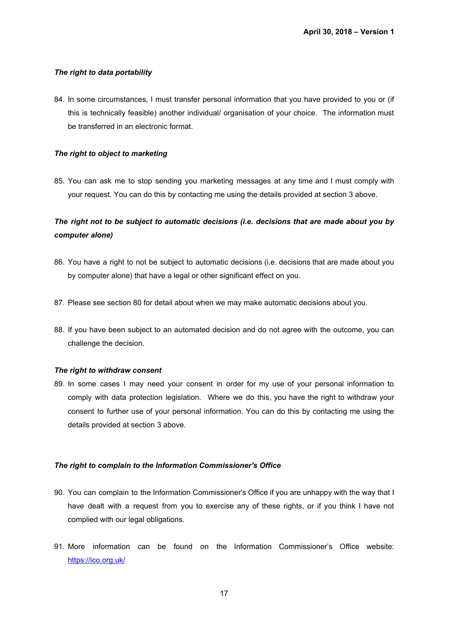# *The right to data portability*

84. In some circumstances, I must transfer personal information that you have provided to you or (if this is technically feasible) another individual/ organisation of your choice. The information must be transferred in an electronic format.

# *The right to object to marketing*

85. You can ask me to stop sending you marketing messages at any time and I must comply with your request. You can do this by contacting me using the details provided at section 3 above.

# *The right not to be subject to automatic decisions (i.e. decisions that are made about you by computer alone)*

- 86. You have a right to not be subject to automatic decisions (i.e. decisions that are made about you by computer alone) that have a legal or other significant effect on you.
- 87. Please see section 80 for detail about when we may make automatic decisions about you.
- 88. If you have been subject to an automated decision and do not agree with the outcome, you can challenge the decision.

## *The right to withdraw consent*

89. In some cases I may need your consent in order for my use of your personal information to comply with data protection legislation. Where we do this, you have the right to withdraw your consent to further use of your personal information. You can do this by contacting me using the details provided at section 3 above.

## *The right to complain to the Information Commissioner's Office*

- 90. You can complain to the Information Commissioner's Office if you are unhappy with the way that I have dealt with a request from you to exercise any of these rights, or if you think I have not complied with our legal obligations.
- 91. More information can be found on the Information Commissioner's Office website: <https://ico.org.uk/>